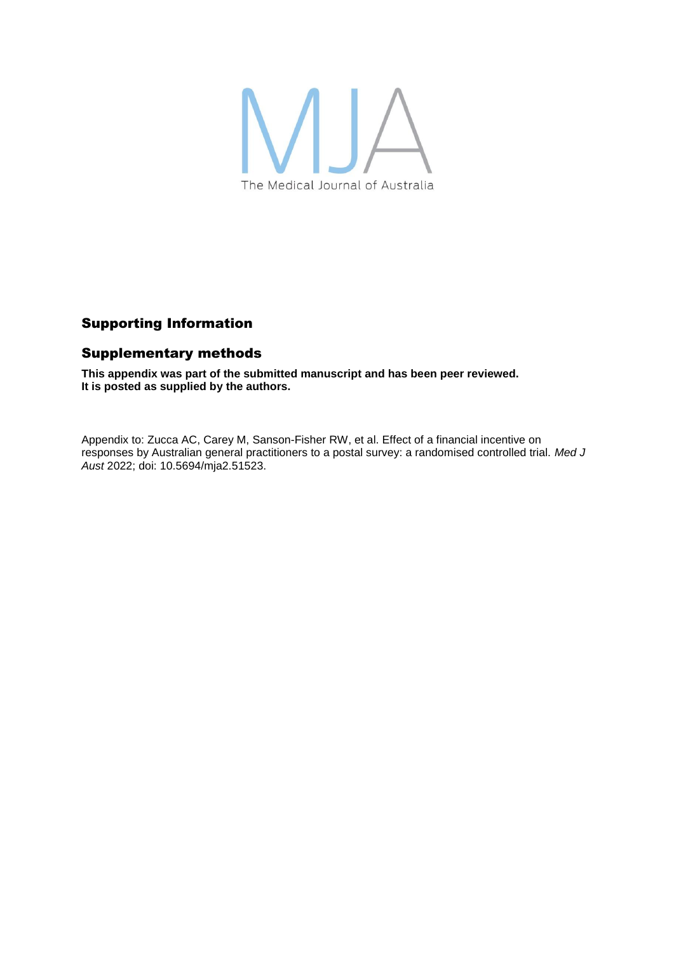

# Supporting Information

## Supplementary methods

**This appendix was part of the submitted manuscript and has been peer reviewed. It is posted as supplied by the authors.**

Appendix to: Zucca AC, Carey M, Sanson-Fisher RW, et al. Effect of a financial incentive on responses by Australian general practitioners to a postal survey: a randomised controlled trial. *Med J Aust* 2022; doi: 10.5694/mja2.51523.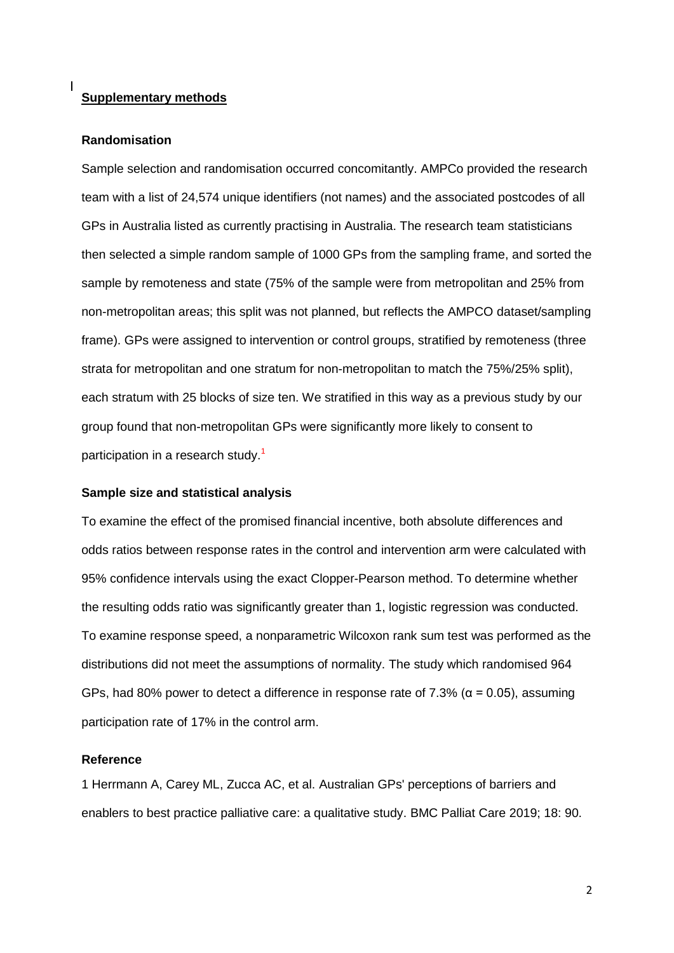### **Supplementary methods**

#### **Randomisation**

Sample selection and randomisation occurred concomitantly. AMPCo provided the research team with a list of 24,574 unique identifiers (not names) and the associated postcodes of all GPs in Australia listed as currently practising in Australia. The research team statisticians then selected a simple random sample of 1000 GPs from the sampling frame, and sorted the sample by remoteness and state (75% of the sample were from metropolitan and 25% from non-metropolitan areas; this split was not planned, but reflects the AMPCO dataset/sampling frame). GPs were assigned to intervention or control groups, stratified by remoteness (three strata for metropolitan and one stratum for non-metropolitan to match the 75%/25% split), each stratum with 25 blocks of size ten. We stratified in this way as a previous study by our group found that non-metropolitan GPs were significantly more likely to consent to participation in a research study.<sup>1</sup>

#### **Sample size and statistical analysis**

To examine the effect of the promised financial incentive, both absolute differences and odds ratios between response rates in the control and intervention arm were calculated with 95% confidence intervals using the exact Clopper-Pearson method. To determine whether the resulting odds ratio was significantly greater than 1, logistic regression was conducted. To examine response speed, a nonparametric Wilcoxon rank sum test was performed as the distributions did not meet the assumptions of normality. The study which randomised 964 GPs, had 80% power to detect a difference in response rate of 7.3% ( $α = 0.05$ ), assuming participation rate of 17% in the control arm.

#### **Reference**

1 Herrmann A, Carey ML, Zucca AC, et al. Australian GPs' perceptions of barriers and enablers to best practice palliative care: a qualitative study. BMC Palliat Care 2019; 18: 90.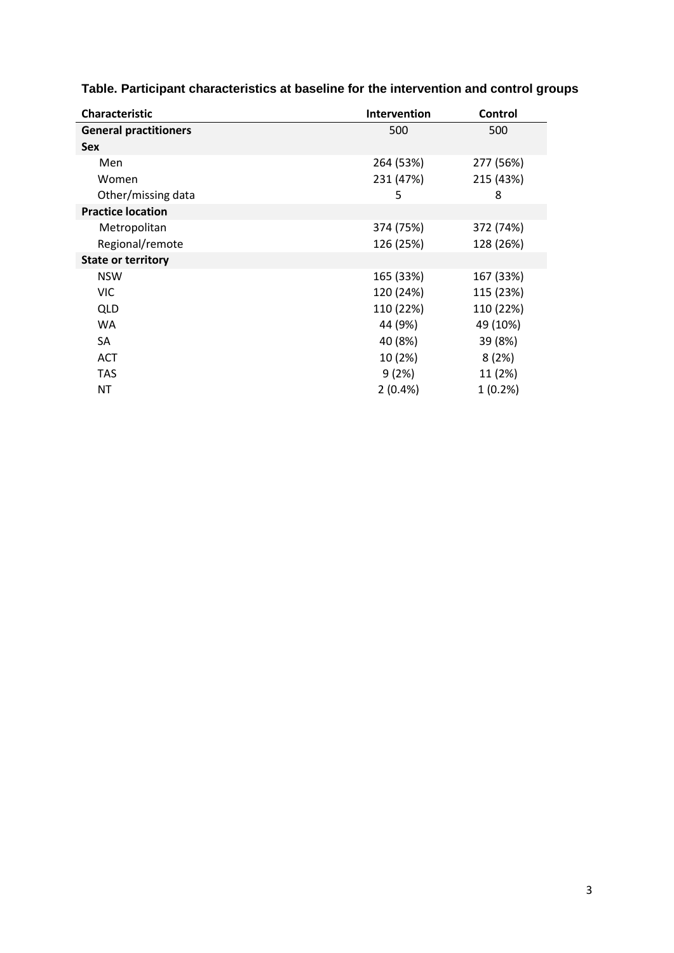| <b>Characteristic</b>        | <b>Intervention</b> | Control    |
|------------------------------|---------------------|------------|
| <b>General practitioners</b> | 500                 | 500        |
| <b>Sex</b>                   |                     |            |
| Men                          | 264 (53%)           | 277 (56%)  |
| Women                        | 231 (47%)           | 215 (43%)  |
| Other/missing data           | 5                   | 8          |
| <b>Practice location</b>     |                     |            |
| Metropolitan                 | 374 (75%)           | 372 (74%)  |
| Regional/remote              | 126 (25%)           | 128 (26%)  |
| <b>State or territory</b>    |                     |            |
| <b>NSW</b>                   | 165 (33%)           | 167 (33%)  |
| <b>VIC</b>                   | 120 (24%)           | 115 (23%)  |
| QLD                          | 110 (22%)           | 110 (22%)  |
| WA                           | 44 (9%)             | 49 (10%)   |
| SA                           | 40 (8%)             | 39 (8%)    |
| ACT                          | 10 (2%)             | 8(2%)      |
| TAS                          | 9(2%)               | 11 (2%)    |
| ΝT                           | $2(0.4\%)$          | $1(0.2\%)$ |

# **Table. Participant characteristics at baseline for the intervention and control groups**